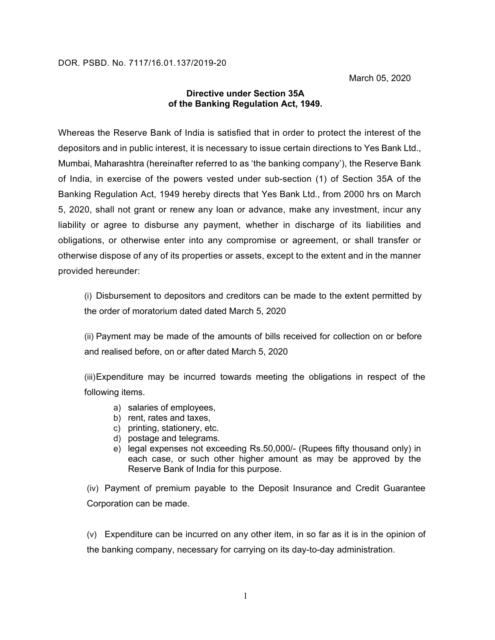## **Directive under Section 35A of the Banking Regulation Act, 1949.**

Whereas the Reserve Bank of India is satisfied that in order to protect the interest of the depositors and in public interest, it is necessary to issue certain directions to Yes Bank Ltd., Mumbai, Maharashtra (hereinafter referred to as 'the banking company'), the Reserve Bank of India, in exercise of the powers vested under sub-section (1) of Section 35A of the Banking Regulation Act, 1949 hereby directs that Yes Bank Ltd., from 2000 hrs on March 5, 2020, shall not grant or renew any loan or advance, make any investment, incur any liability or agree to disburse any payment, whether in discharge of its liabilities and obligations, or otherwise enter into any compromise or agreement, or shall transfer or otherwise dispose of any of its properties or assets, except to the extent and in the manner provided hereunder:

(i) Disbursement to depositors and creditors can be made to the extent permitted by the order of moratorium dated dated March 5, 2020

(ii) Payment may be made of the amounts of bills received for collection on or before and realised before, on or after dated March 5, 2020

(iii)Expenditure may be incurred towards meeting the obligations in respect of the following items.

- a) salaries of employees,
- b) rent, rates and taxes,
- c) printing, stationery, etc.
- d) postage and telegrams.
- e) legal expenses not exceeding Rs.50,000/- (Rupees fifty thousand only) in each case, or such other higher amount as may be approved by the Reserve Bank of India for this purpose.

(iv) Payment of premium payable to the Deposit Insurance and Credit Guarantee Corporation can be made.

(v) Expenditure can be incurred on any other item, in so far as it is in the opinion of the banking company, necessary for carrying on its day-to-day administration.